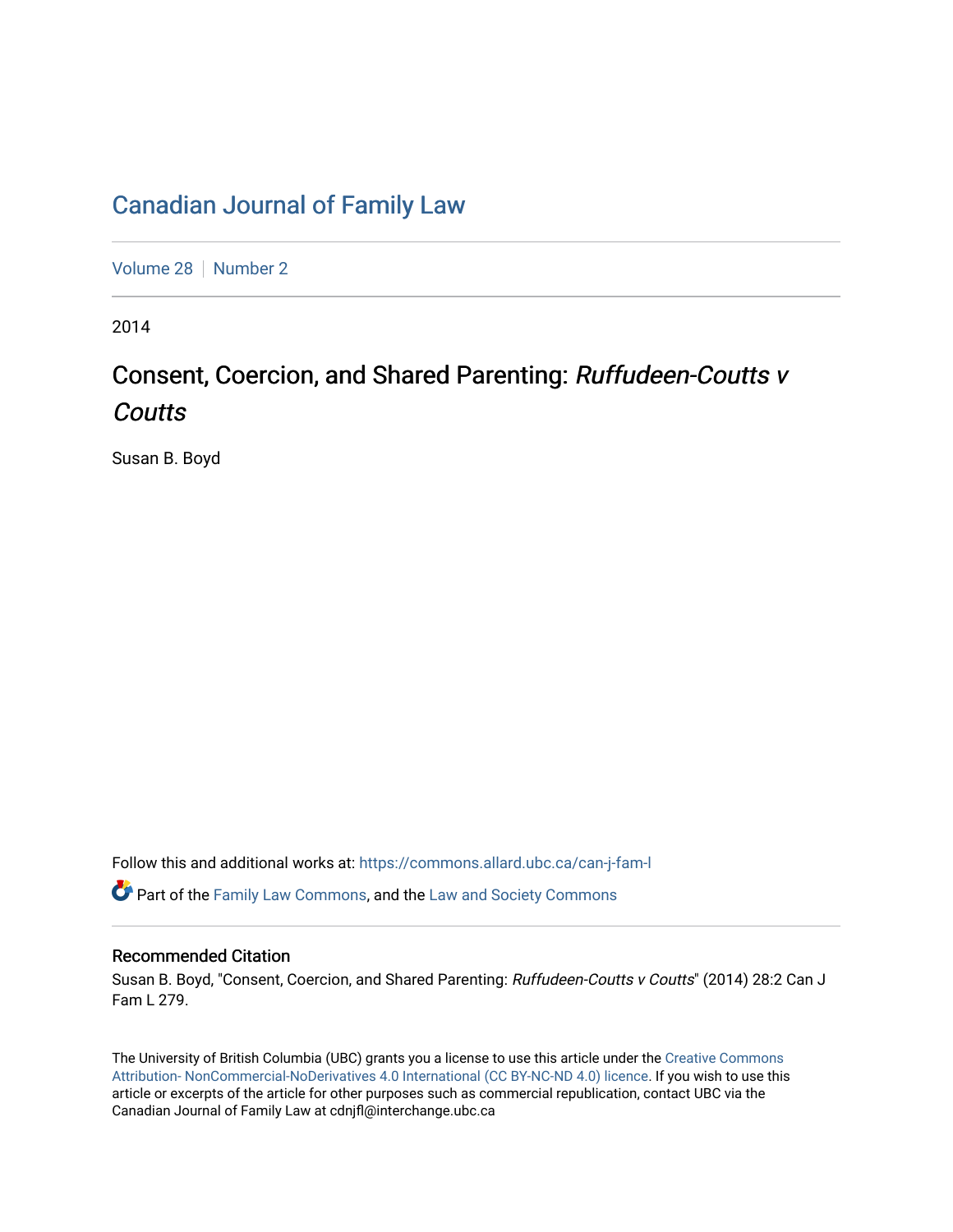## [Canadian Journal of Family Law](https://commons.allard.ubc.ca/can-j-fam-l)

[Volume 28](https://commons.allard.ubc.ca/can-j-fam-l/vol28) | [Number 2](https://commons.allard.ubc.ca/can-j-fam-l/vol28/iss2)

2014

# Consent, Coercion, and Shared Parenting: Ruffudeen-Coutts v **Coutts**

Susan B. Boyd

Follow this and additional works at: [https://commons.allard.ubc.ca/can-j-fam-l](https://commons.allard.ubc.ca/can-j-fam-l?utm_source=commons.allard.ubc.ca%2Fcan-j-fam-l%2Fvol28%2Fiss2%2F4&utm_medium=PDF&utm_campaign=PDFCoverPages) 

**P** Part of the [Family Law Commons,](http://network.bepress.com/hgg/discipline/602?utm_source=commons.allard.ubc.ca%2Fcan-j-fam-l%2Fvol28%2Fiss2%2F4&utm_medium=PDF&utm_campaign=PDFCoverPages) and the Law and Society Commons

#### Recommended Citation

Susan B. Boyd, "Consent, Coercion, and Shared Parenting: Ruffudeen-Coutts v Coutts" (2014) 28:2 Can J Fam L 279.

The University of British Columbia (UBC) grants you a license to use this article under the [Creative Commons](https://creativecommons.org/licenses/by-nc-nd/4.0/)  [Attribution- NonCommercial-NoDerivatives 4.0 International \(CC BY-NC-ND 4.0\) licence.](https://creativecommons.org/licenses/by-nc-nd/4.0/) If you wish to use this article or excerpts of the article for other purposes such as commercial republication, contact UBC via the Canadian Journal of Family Law at cdnjfl@interchange.ubc.ca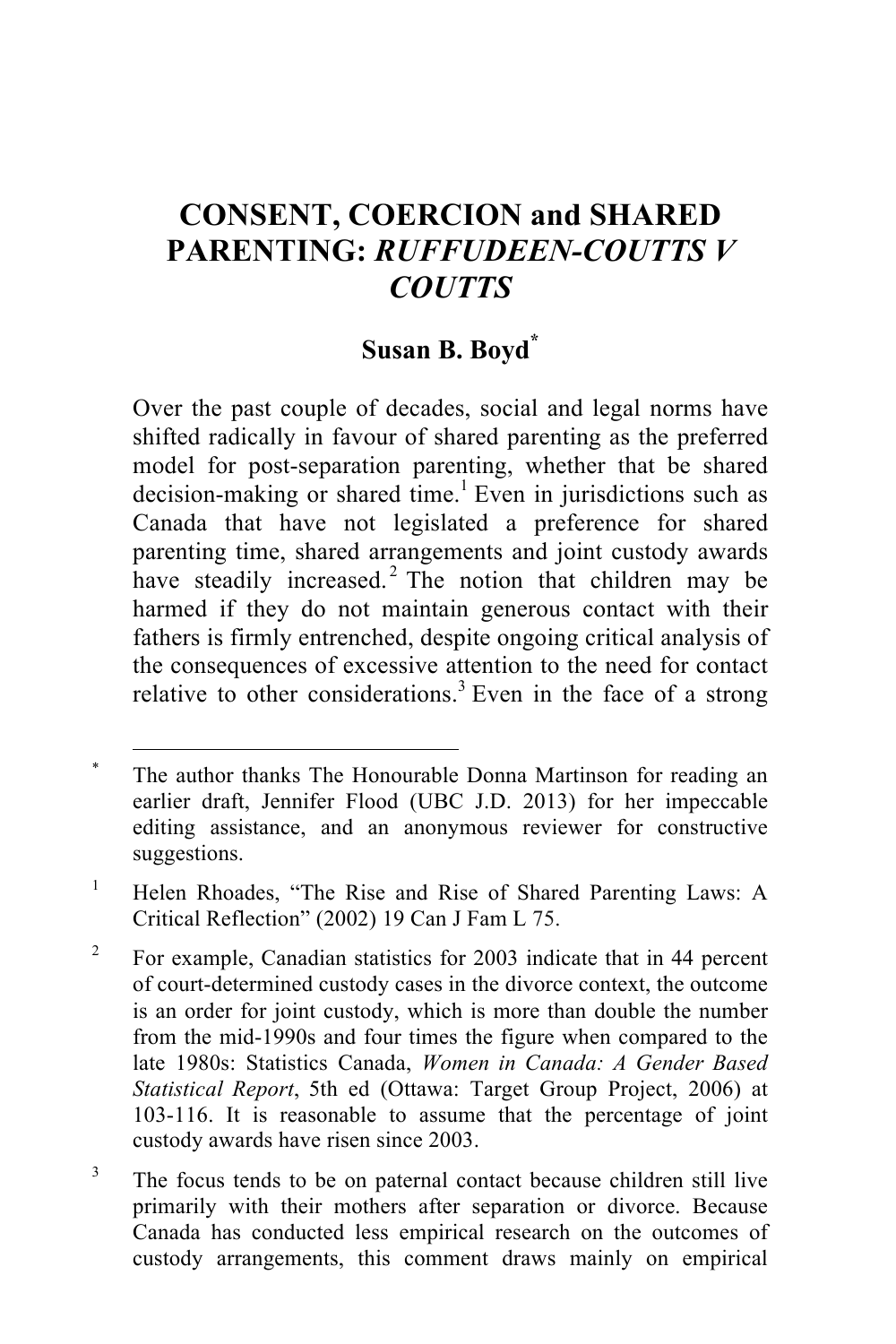## **CONSENT, COERCION and SHARED PARENTING:** *RUFFUDEEN-COUTTS V COUTTS*

### **Susan B. Boyd\***

Over the past couple of decades, social and legal norms have shifted radically in favour of shared parenting as the preferred model for post-separation parenting, whether that be shared decision-making or shared time.<sup>1</sup> Even in jurisdictions such as Canada that have not legislated a preference for shared parenting time, shared arrangements and joint custody awards have steadily increased.<sup>2</sup> The notion that children may be harmed if they do not maintain generous contact with their fathers is firmly entrenched, despite ongoing critical analysis of the consequences of excessive attention to the need for contact relative to other considerations.<sup>3</sup> Even in the face of a strong

<sup>&</sup>lt;sup>\*</sup> The author thanks The Honourable Donna Martinson for reading an earlier draft, Jennifer Flood (UBC J.D. 2013) for her impeccable editing assistance, and an anonymous reviewer for constructive suggestions.

<sup>&</sup>lt;sup>1</sup> Helen Rhoades, "The Rise and Rise of Shared Parenting Laws: A Critical Reflection" (2002) 19 Can J Fam L 75.

<sup>&</sup>lt;sup>2</sup> For example, Canadian statistics for 2003 indicate that in 44 percent of court-determined custody cases in the divorce context, the outcome is an order for joint custody, which is more than double the number from the mid-1990s and four times the figure when compared to the late 1980s: Statistics Canada, *Women in Canada: A Gender Based Statistical Report*, 5th ed (Ottawa: Target Group Project, 2006) at 103-116. It is reasonable to assume that the percentage of joint custody awards have risen since 2003.

<sup>&</sup>lt;sup>3</sup> The focus tends to be on paternal contact because children still live primarily with their mothers after separation or divorce. Because Canada has conducted less empirical research on the outcomes of custody arrangements, this comment draws mainly on empirical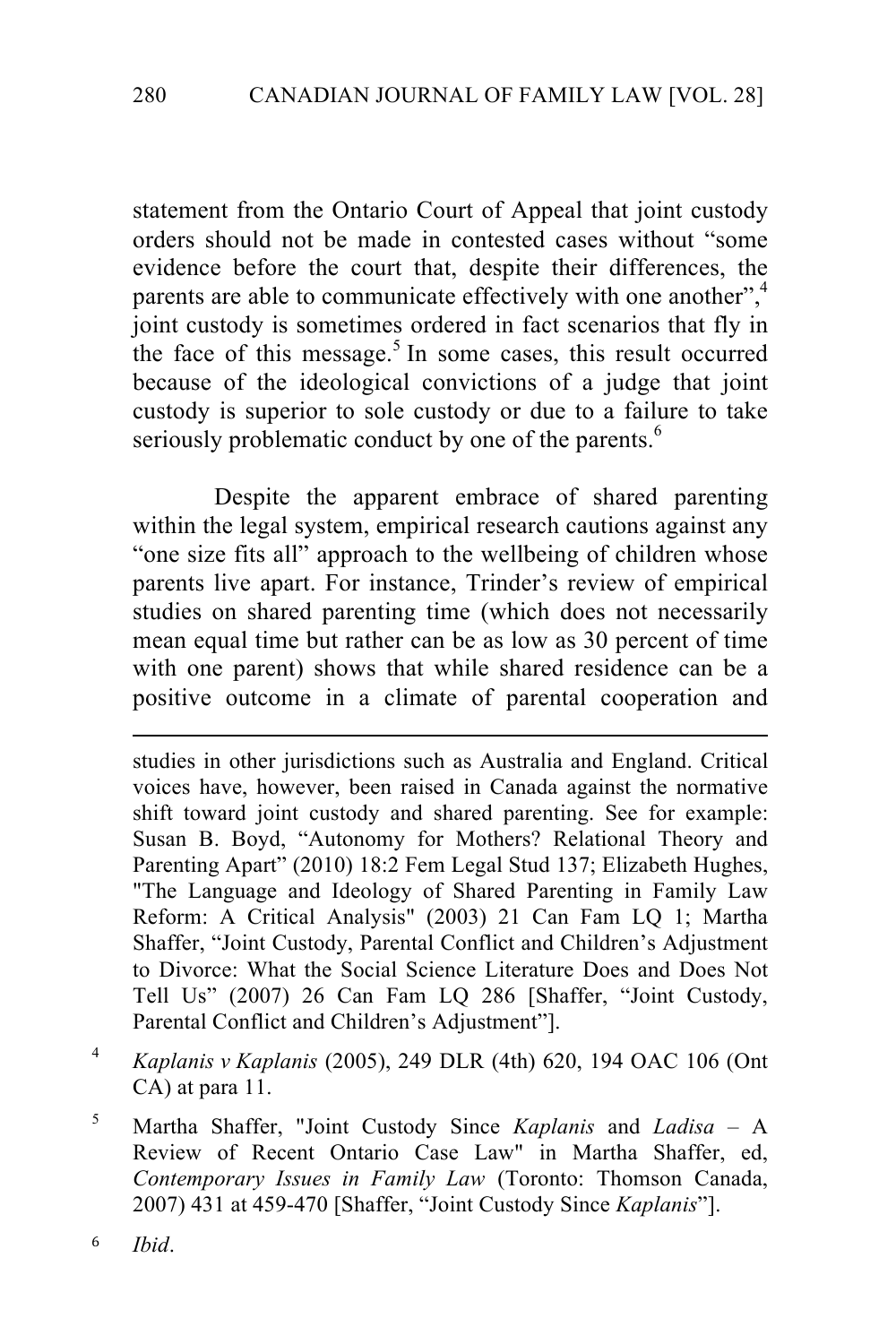statement from the Ontario Court of Appeal that joint custody orders should not be made in contested cases without "some evidence before the court that, despite their differences, the parents are able to communicate effectively with one another",<sup>4</sup> joint custody is sometimes ordered in fact scenarios that fly in the face of this message.<sup>5</sup> In some cases, this result occurred because of the ideological convictions of a judge that joint custody is superior to sole custody or due to a failure to take seriously problematic conduct by one of the parents.<sup>6</sup>

Despite the apparent embrace of shared parenting within the legal system, empirical research cautions against any "one size fits all" approach to the wellbeing of children whose parents live apart. For instance, Trinder's review of empirical studies on shared parenting time (which does not necessarily mean equal time but rather can be as low as 30 percent of time with one parent) shows that while shared residence can be a positive outcome in a climate of parental cooperation and

!!!!!!!!!!!!!!!!!!!!!!!!!!!!!!!!!!!!!!!!!!!!!!!!!!!!!!!!!!!!!!!!!!!!!!!!!!!!!!!!!!!!!!!!!!!!!!!!!!!!!!!!!!!

studies in other jurisdictions such as Australia and England. Critical voices have, however, been raised in Canada against the normative shift toward joint custody and shared parenting. See for example: Susan B. Boyd, "Autonomy for Mothers? Relational Theory and Parenting Apart" (2010) 18:2 Fem Legal Stud 137; Elizabeth Hughes, "The Language and Ideology of Shared Parenting in Family Law Reform: A Critical Analysis" (2003) 21 Can Fam LQ 1; Martha Shaffer, "Joint Custody, Parental Conflict and Children's Adjustment to Divorce: What the Social Science Literature Does and Does Not Tell Us" (2007) 26 Can Fam LQ 286 [Shaffer, "Joint Custody, Parental Conflict and Children's Adjustment"].

- <sup>4</sup> *Kaplanis v Kaplanis* (2005), 249 DLR (4th) 620, 194 OAC 106 (Ont CA) at para 11.
- <sup>5</sup> Martha Shaffer, "Joint Custody Since *Kaplanis* and *Ladisa* A Review of Recent Ontario Case Law" in Martha Shaffer, ed, *Contemporary Issues in Family Law* (Toronto: Thomson Canada, 2007) 431 at 459-470 [Shaffer, "Joint Custody Since *Kaplanis*"].

<sup>6</sup> *Ibid*.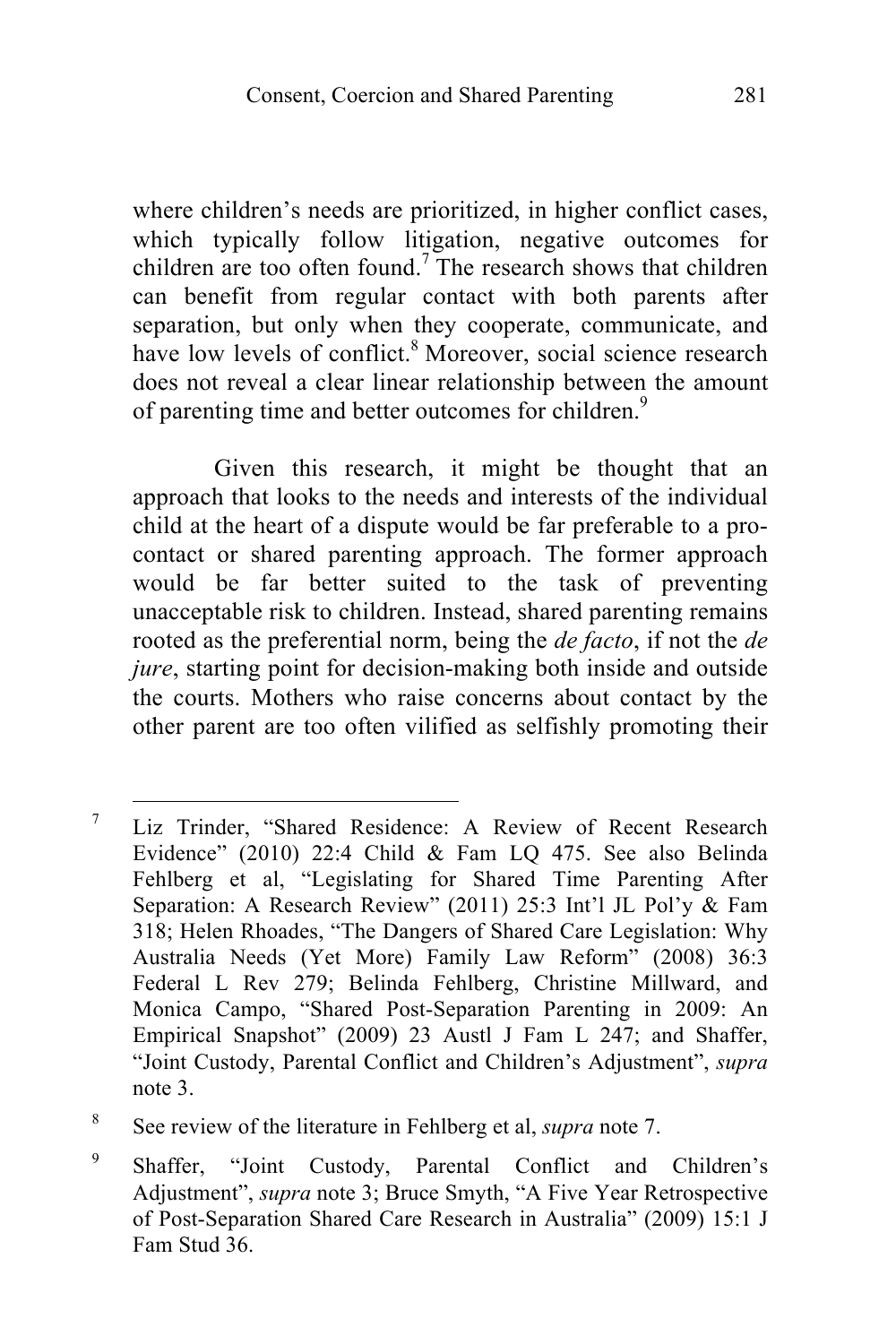where children's needs are prioritized, in higher conflict cases, which typically follow litigation, negative outcomes for children are too often found.<sup>7</sup> The research shows that children can benefit from regular contact with both parents after separation, but only when they cooperate, communicate, and have low levels of conflict.<sup>8</sup> Moreover, social science research does not reveal a clear linear relationship between the amount of parenting time and better outcomes for children.<sup>9</sup>

Given this research, it might be thought that an approach that looks to the needs and interests of the individual child at the heart of a dispute would be far preferable to a procontact or shared parenting approach. The former approach would be far better suited to the task of preventing unacceptable risk to children. Instead, shared parenting remains rooted as the preferential norm, being the *de facto*, if not the *de jure*, starting point for decision-making both inside and outside the courts. Mothers who raise concerns about contact by the other parent are too often vilified as selfishly promoting their

<sup>&</sup>lt;sup>7</sup> Liz Trinder, "Shared Residence: A Review of Recent Research Evidence" (2010) 22:4 Child & Fam LQ 475. See also Belinda Fehlberg et al, "Legislating for Shared Time Parenting After Separation: A Research Review" (2011) 25:3 Int'l JL Pol'y & Fam 318; Helen Rhoades, "The Dangers of Shared Care Legislation: Why Australia Needs (Yet More) Family Law Reform" (2008) 36:3 Federal L Rev 279; Belinda Fehlberg, Christine Millward, and Monica Campo, "Shared Post-Separation Parenting in 2009: An Empirical Snapshot" (2009) 23 Austl J Fam L 247; and Shaffer, "Joint Custody, Parental Conflict and Children's Adjustment", *supra*  note 3.

<sup>8</sup> See review of the literature in Fehlberg et al, *supra* note 7.

<sup>9</sup> Shaffer, "Joint Custody, Parental Conflict and Children's Adjustment", *supra* note 3; Bruce Smyth, "A Five Year Retrospective of Post-Separation Shared Care Research in Australia" (2009) 15:1 J Fam Stud 36.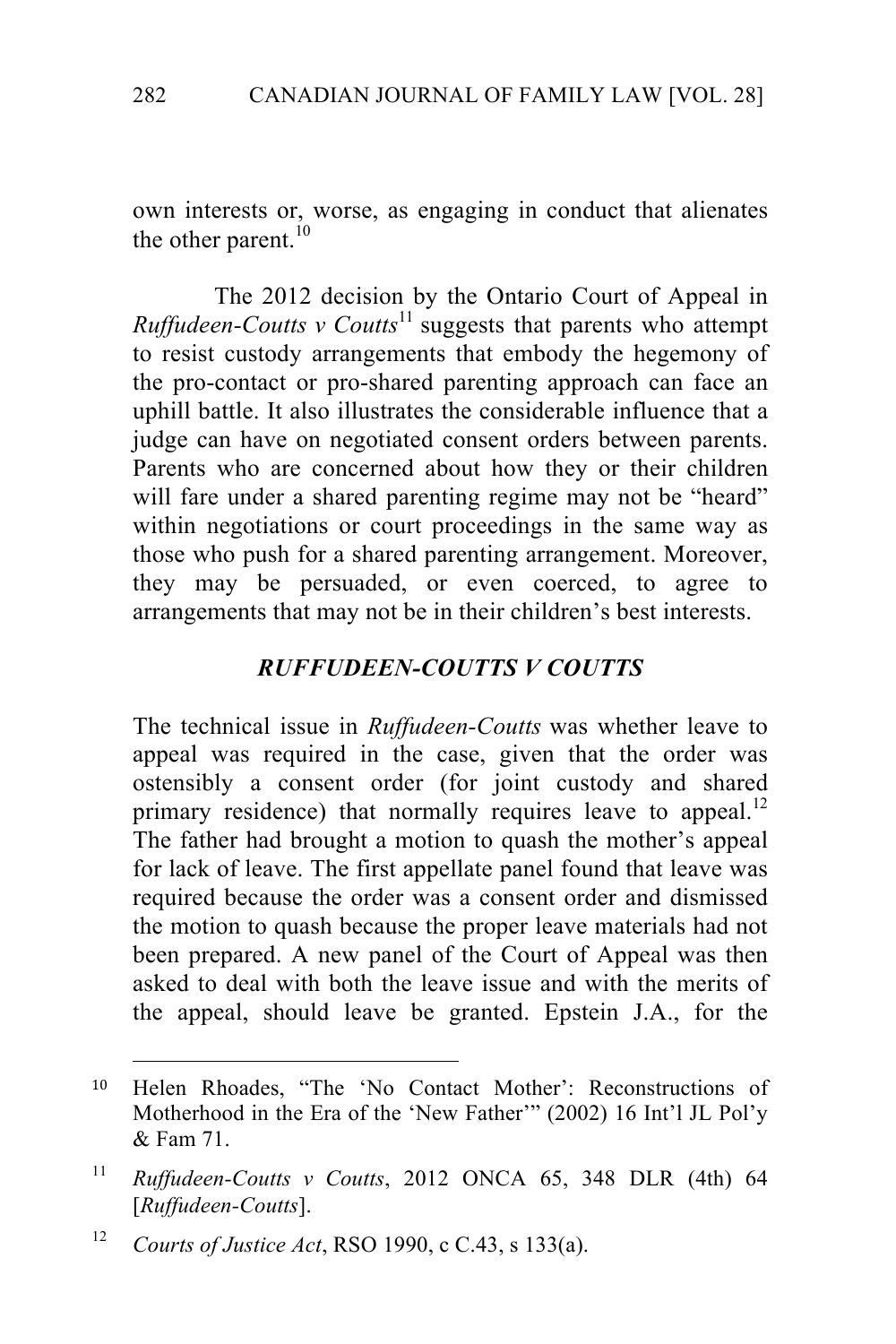own interests or, worse, as engaging in conduct that alienates the other parent. $^{10}$ 

The 2012 decision by the Ontario Court of Appeal in *Ruffudeen-Coutts v Coutts*<sup>11</sup> suggests that parents who attempt to resist custody arrangements that embody the hegemony of the pro-contact or pro-shared parenting approach can face an uphill battle. It also illustrates the considerable influence that a judge can have on negotiated consent orders between parents. Parents who are concerned about how they or their children will fare under a shared parenting regime may not be "heard" within negotiations or court proceedings in the same way as those who push for a shared parenting arrangement. Moreover, they may be persuaded, or even coerced, to agree to arrangements that may not be in their children's best interests.

#### *RUFFUDEEN-COUTTS V COUTTS*

The technical issue in *Ruffudeen-Coutts* was whether leave to appeal was required in the case, given that the order was ostensibly a consent order (for joint custody and shared primary residence) that normally requires leave to appeal.<sup>12</sup> The father had brought a motion to quash the mother's appeal for lack of leave. The first appellate panel found that leave was required because the order was a consent order and dismissed the motion to quash because the proper leave materials had not been prepared. A new panel of the Court of Appeal was then asked to deal with both the leave issue and with the merits of the appeal, should leave be granted. Epstein J.A., for the

!!!!!!!!!!!!!!!!!!!!!!!!!!!!!!!!!!!!!!!!!!!!!!!!!!!!!!!

<sup>10</sup> Helen Rhoades, "The 'No Contact Mother': Reconstructions of Motherhood in the Era of the 'New Father'" (2002) 16 Int'l JL Pol'y & Fam 71.

<sup>11</sup> *Ruffudeen-Coutts v Coutts*, 2012 ONCA 65, 348 DLR (4th) 64 [*Ruffudeen-Coutts*].

<sup>12</sup> *Courts of Justice Act*, RSO 1990, c C.43, s 133(a).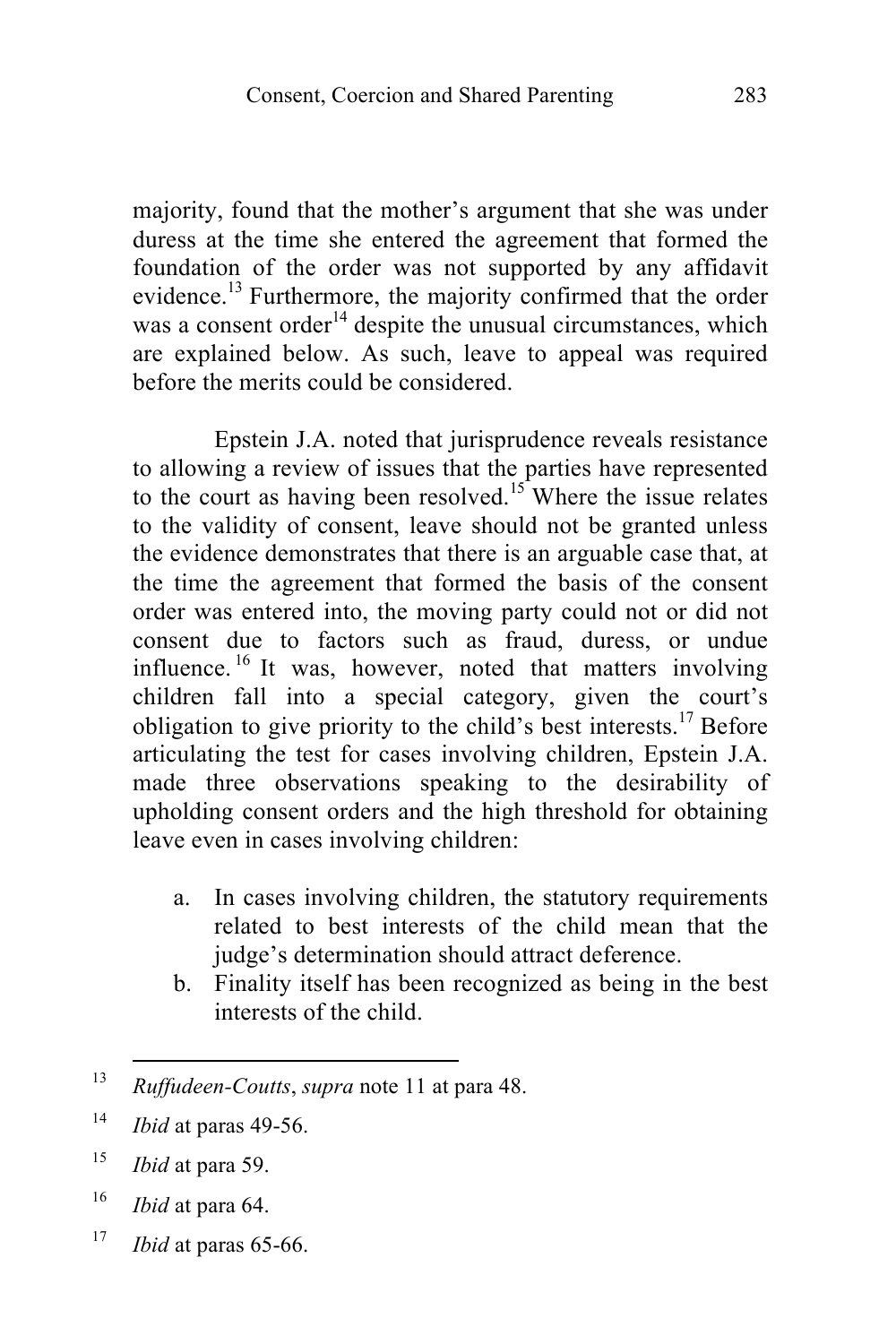majority, found that the mother's argument that she was under duress at the time she entered the agreement that formed the foundation of the order was not supported by any affidavit evidence.<sup>13</sup> Furthermore, the majority confirmed that the order was a consent order<sup>14</sup> despite the unusual circumstances, which are explained below. As such, leave to appeal was required before the merits could be considered.

Epstein J.A. noted that jurisprudence reveals resistance to allowing a review of issues that the parties have represented to the court as having been resolved.<sup>15</sup> Where the issue relates to the validity of consent, leave should not be granted unless the evidence demonstrates that there is an arguable case that, at the time the agreement that formed the basis of the consent order was entered into, the moving party could not or did not consent due to factors such as fraud, duress, or undue influence. <sup>16</sup> It was, however, noted that matters involving children fall into a special category, given the court's obligation to give priority to the child's best interests.<sup>17</sup> Before articulating the test for cases involving children, Epstein J.A. made three observations speaking to the desirability of upholding consent orders and the high threshold for obtaining leave even in cases involving children:

- a. In cases involving children, the statutory requirements related to best interests of the child mean that the judge's determination should attract deference.
- b. Finality itself has been recognized as being in the best interests of the child.

- <sup>15</sup> *Ibid* at para 59.
- <sup>16</sup> *Ibid* at para 64.
- <sup>17</sup> *Ibid* at paras 65-66.

<sup>&</sup>lt;sup>13</sup> *Ruffudeen-Coutts, supra* note 11 at para 48.

<sup>14</sup> *Ibid* at paras 49-56.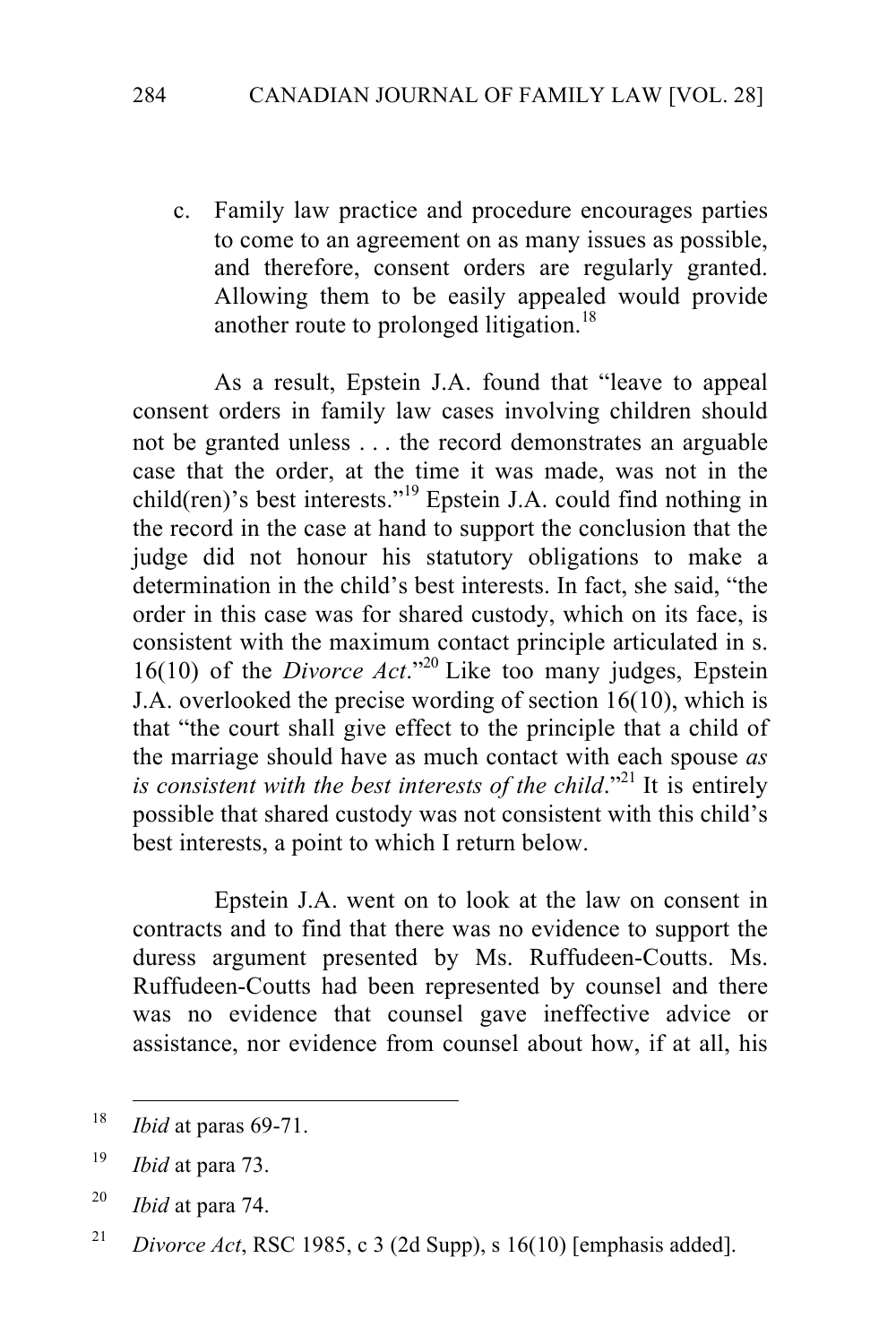c. Family law practice and procedure encourages parties to come to an agreement on as many issues as possible, and therefore, consent orders are regularly granted. Allowing them to be easily appealed would provide another route to prolonged litigation.<sup>18</sup>

As a result, Epstein J.A. found that "leave to appeal consent orders in family law cases involving children should not be granted unless . . . the record demonstrates an arguable case that the order, at the time it was made, was not in the child(ren)'s best interests."<sup>19</sup> Epstein J.A. could find nothing in the record in the case at hand to support the conclusion that the judge did not honour his statutory obligations to make a determination in the child's best interests. In fact, she said, "the order in this case was for shared custody, which on its face, is consistent with the maximum contact principle articulated in s. 16(10) of the *Divorce Act*." <sup>20</sup> Like too many judges, Epstein J.A. overlooked the precise wording of section 16(10), which is that "the court shall give effect to the principle that a child of the marriage should have as much contact with each spouse *as is consistent with the best interests of the child.*<sup>22</sup> It is entirely possible that shared custody was not consistent with this child's best interests, a point to which I return below.

Epstein J.A. went on to look at the law on consent in contracts and to find that there was no evidence to support the duress argument presented by Ms. Ruffudeen-Coutts. Ms. Ruffudeen-Coutts had been represented by counsel and there was no evidence that counsel gave ineffective advice or assistance, nor evidence from counsel about how, if at all, his

<sup>&</sup>lt;sup>18</sup> *Ibid* at paras 69-71.

<sup>19</sup> *Ibid* at para 73.

<sup>20</sup> *Ibid* at para 74.

<sup>&</sup>lt;sup>21</sup> *Divorce Act*, RSC 1985, c 3 (2d Supp), s 16(10) [emphasis added].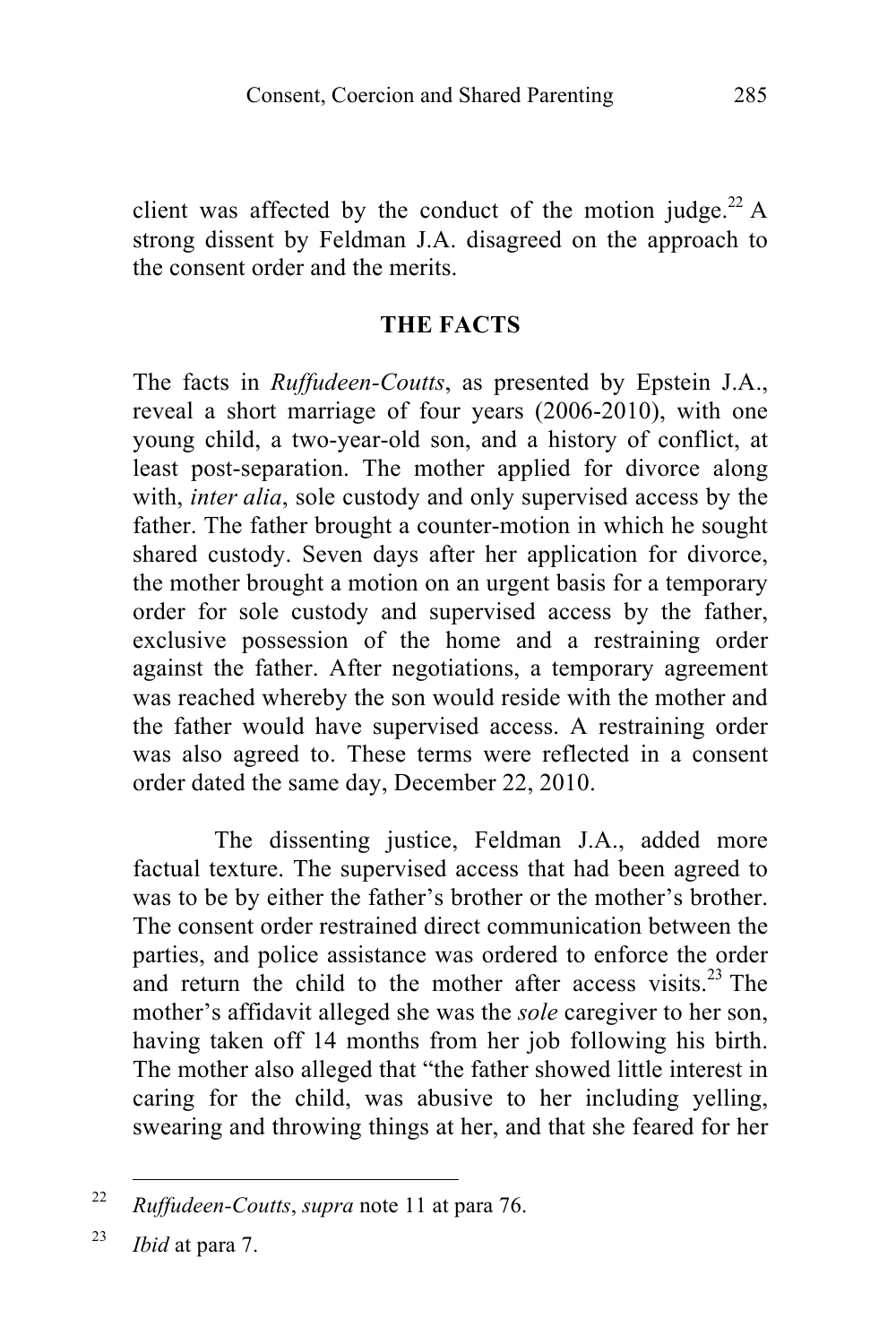client was affected by the conduct of the motion judge.<sup>22</sup> A strong dissent by Feldman J.A. disagreed on the approach to the consent order and the merits.

#### **THE FACTS**

The facts in *Ruffudeen-Coutts*, as presented by Epstein J.A., reveal a short marriage of four years (2006-2010), with one young child, a two-year-old son, and a history of conflict, at least post-separation. The mother applied for divorce along with, *inter alia*, sole custody and only supervised access by the father. The father brought a counter-motion in which he sought shared custody. Seven days after her application for divorce, the mother brought a motion on an urgent basis for a temporary order for sole custody and supervised access by the father, exclusive possession of the home and a restraining order against the father. After negotiations, a temporary agreement was reached whereby the son would reside with the mother and the father would have supervised access. A restraining order was also agreed to. These terms were reflected in a consent order dated the same day, December 22, 2010.

The dissenting justice, Feldman J.A., added more factual texture. The supervised access that had been agreed to was to be by either the father's brother or the mother's brother. The consent order restrained direct communication between the parties, and police assistance was ordered to enforce the order and return the child to the mother after access visits. $23$  The mother's affidavit alleged she was the *sole* caregiver to her son, having taken off 14 months from her job following his birth. The mother also alleged that "the father showed little interest in caring for the child, was abusive to her including yelling, swearing and throwing things at her, and that she feared for her

<sup>!!!!!!!!!!!!!!!!!!!!!!!!!!!!!!!!!!!!!!!!!!!!!!!!!!!!!!!</sup> <sup>22</sup> *Ruffudeen-Coutts*, *supra* note 11 at para 76.

<sup>23</sup> *Ibid* at para 7.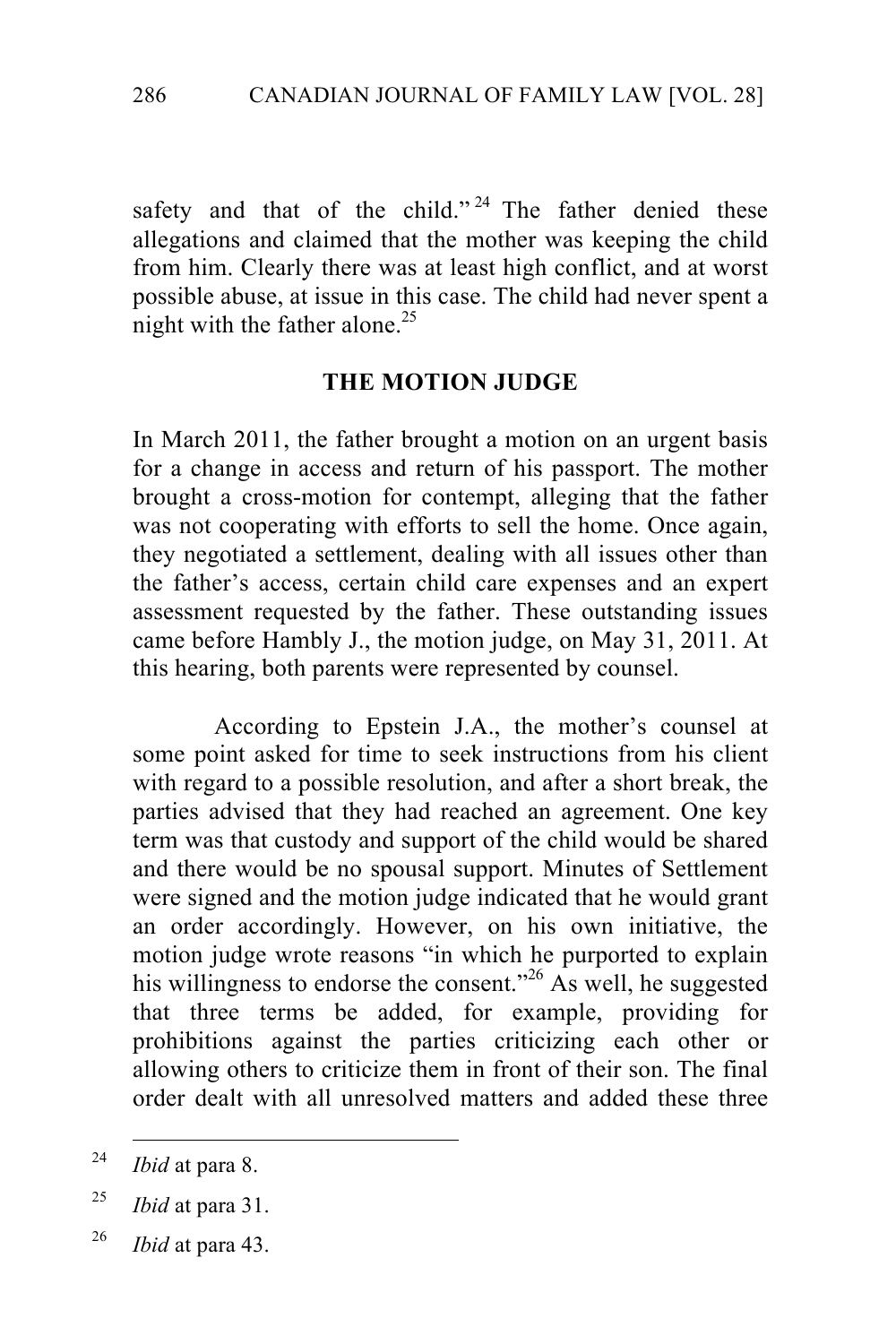safety and that of the child." <sup>24</sup> The father denied these allegations and claimed that the mother was keeping the child from him. Clearly there was at least high conflict, and at worst possible abuse, at issue in this case. The child had never spent a night with the father alone.<sup>25</sup>

#### **THE MOTION JUDGE**

In March 2011, the father brought a motion on an urgent basis for a change in access and return of his passport. The mother brought a cross-motion for contempt, alleging that the father was not cooperating with efforts to sell the home. Once again, they negotiated a settlement, dealing with all issues other than the father's access, certain child care expenses and an expert assessment requested by the father. These outstanding issues came before Hambly J., the motion judge, on May 31, 2011. At this hearing, both parents were represented by counsel.

According to Epstein J.A., the mother's counsel at some point asked for time to seek instructions from his client with regard to a possible resolution, and after a short break, the parties advised that they had reached an agreement. One key term was that custody and support of the child would be shared and there would be no spousal support. Minutes of Settlement were signed and the motion judge indicated that he would grant an order accordingly. However, on his own initiative, the motion judge wrote reasons "in which he purported to explain his willingness to endorse the consent."<sup>26</sup> As well, he suggested that three terms be added, for example, providing for prohibitions against the parties criticizing each other or allowing others to criticize them in front of their son. The final order dealt with all unresolved matters and added these three

<sup>&</sup>lt;sup>24</sup> *Ibid* at para 8.

<sup>25</sup> *Ibid* at para 31.

<sup>26</sup> *Ibid* at para 43.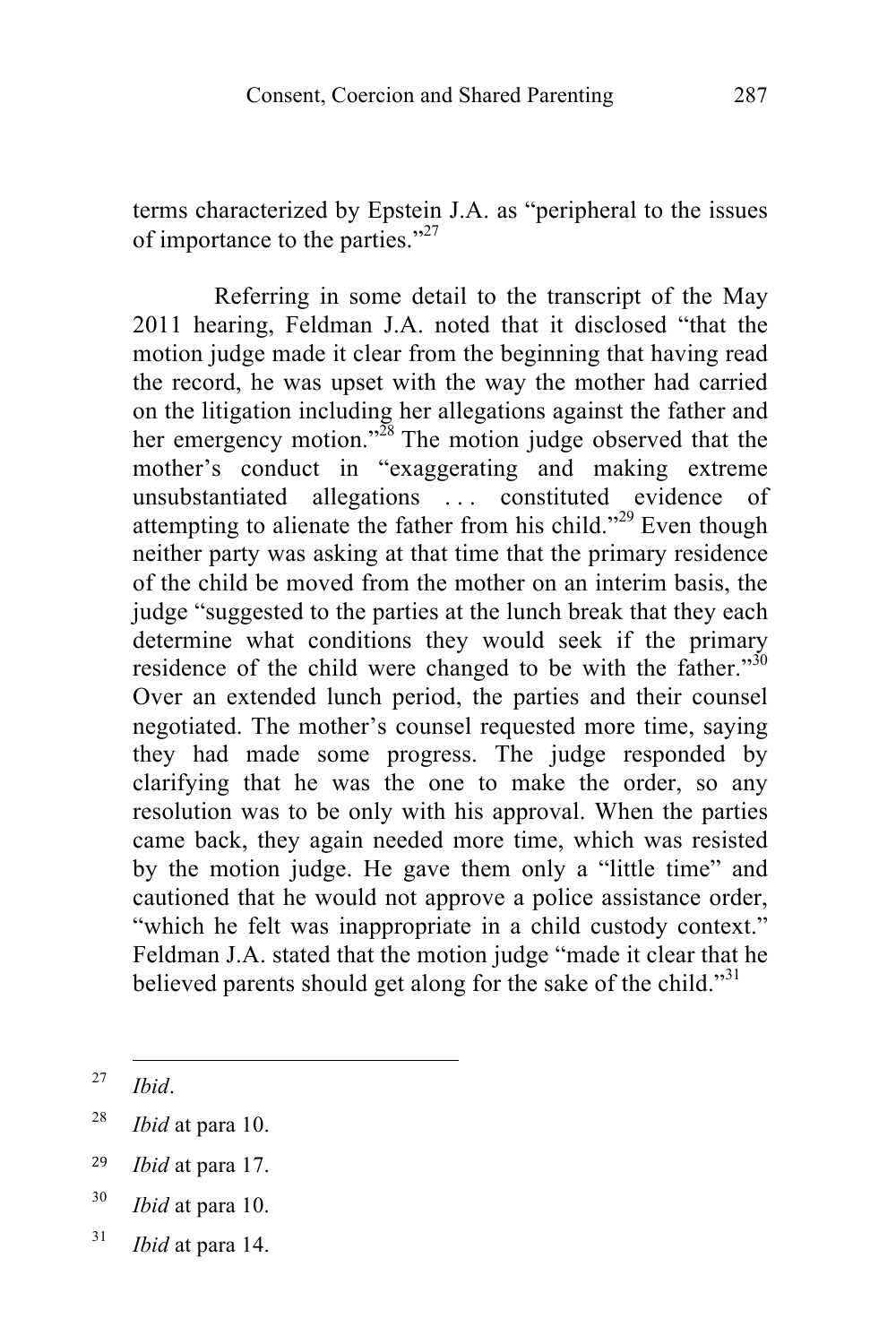terms characterized by Epstein J.A. as "peripheral to the issues of importance to the parties."<sup>27</sup>

Referring in some detail to the transcript of the May 2011 hearing, Feldman J.A. noted that it disclosed "that the motion judge made it clear from the beginning that having read the record, he was upset with the way the mother had carried on the litigation including her allegations against the father and her emergency motion."<sup>28</sup> The motion judge observed that the mother's conduct in "exaggerating and making extreme unsubstantiated allegations . . . constituted evidence of attempting to alienate the father from his child."<sup>29</sup> Even though neither party was asking at that time that the primary residence of the child be moved from the mother on an interim basis, the judge "suggested to the parties at the lunch break that they each determine what conditions they would seek if the primary residence of the child were changed to be with the father."<sup>30</sup> Over an extended lunch period, the parties and their counsel negotiated. The mother's counsel requested more time, saying they had made some progress. The judge responded by clarifying that he was the one to make the order, so any resolution was to be only with his approval. When the parties came back, they again needed more time, which was resisted by the motion judge. He gave them only a "little time" and cautioned that he would not approve a police assistance order, "which he felt was inappropriate in a child custody context." Feldman J.A. stated that the motion judge "made it clear that he believed parents should get along for the sake of the child."31

- <sup>29</sup> *Ibid* at para 17.
- <sup>30</sup> *Ibid* at para 10.
- <sup>31</sup> *Ibid* at para 14.

<sup>!!!!!!!!!!!!!!!!!!!!!!!!!!!!!!!!!!!!!!!!!!!!!!!!!!!!!!!</sup> <sup>27</sup> *Ibid*.

<sup>28</sup> *Ibid* at para 10.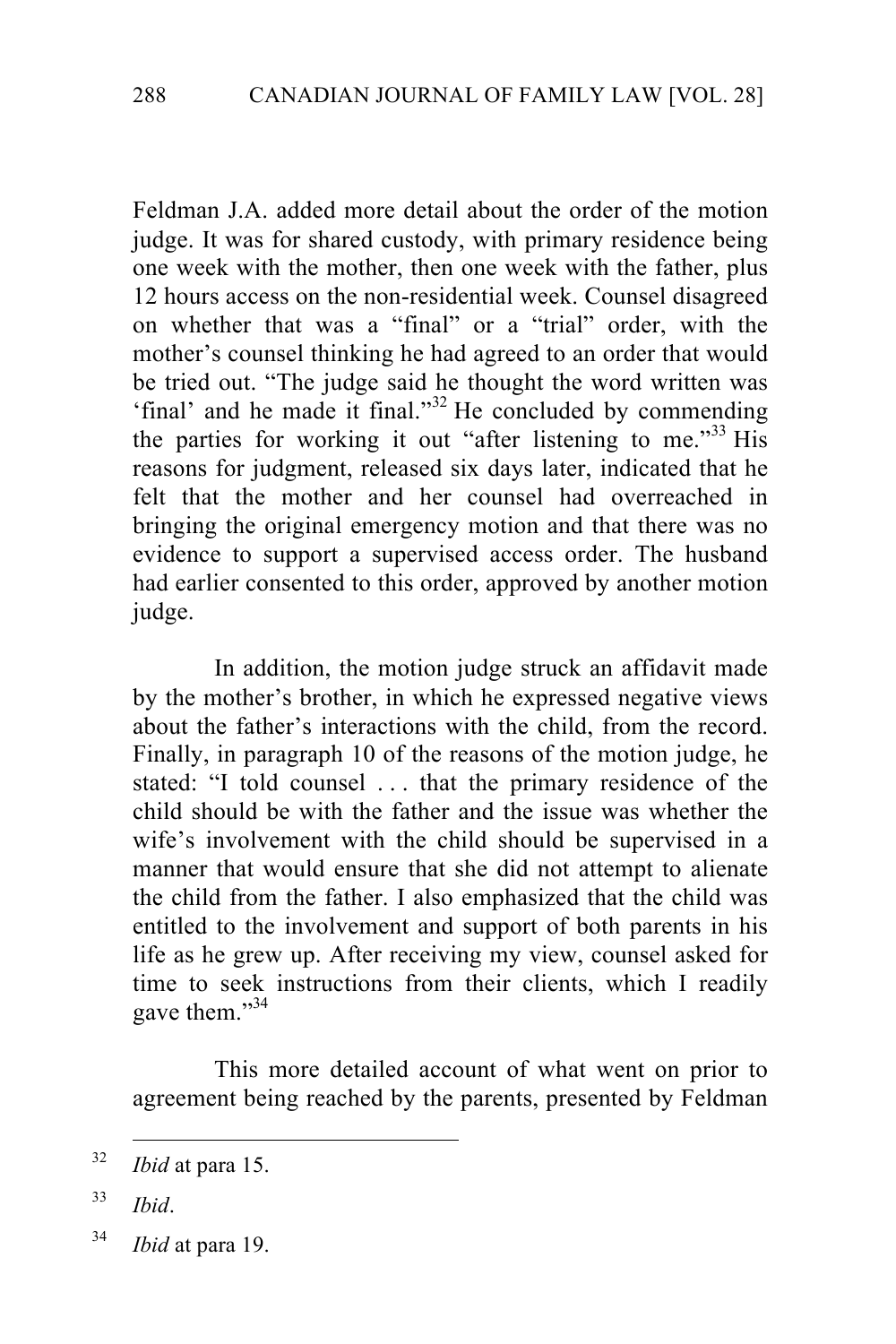Feldman J.A. added more detail about the order of the motion judge. It was for shared custody, with primary residence being one week with the mother, then one week with the father, plus 12 hours access on the non-residential week. Counsel disagreed on whether that was a "final" or a "trial" order, with the mother's counsel thinking he had agreed to an order that would be tried out. "The judge said he thought the word written was 'final' and he made it final."<sup>32</sup> He concluded by commending the parties for working it out "after listening to me."<sup>33</sup> His reasons for judgment, released six days later, indicated that he felt that the mother and her counsel had overreached in bringing the original emergency motion and that there was no evidence to support a supervised access order. The husband had earlier consented to this order, approved by another motion judge.

In addition, the motion judge struck an affidavit made by the mother's brother, in which he expressed negative views about the father's interactions with the child, from the record. Finally, in paragraph 10 of the reasons of the motion judge, he stated: "I told counsel . . . that the primary residence of the child should be with the father and the issue was whether the wife's involvement with the child should be supervised in a manner that would ensure that she did not attempt to alienate the child from the father. I also emphasized that the child was entitled to the involvement and support of both parents in his life as he grew up. After receiving my view, counsel asked for time to seek instructions from their clients, which I readily gave them."34

This more detailed account of what went on prior to agreement being reached by the parents, presented by Feldman

- <sup>33</sup> *Ibid*.
- <sup>34</sup> *Ibid* at para 19.

<sup>&</sup>lt;sup>32</sup> *Ibid* at para 15.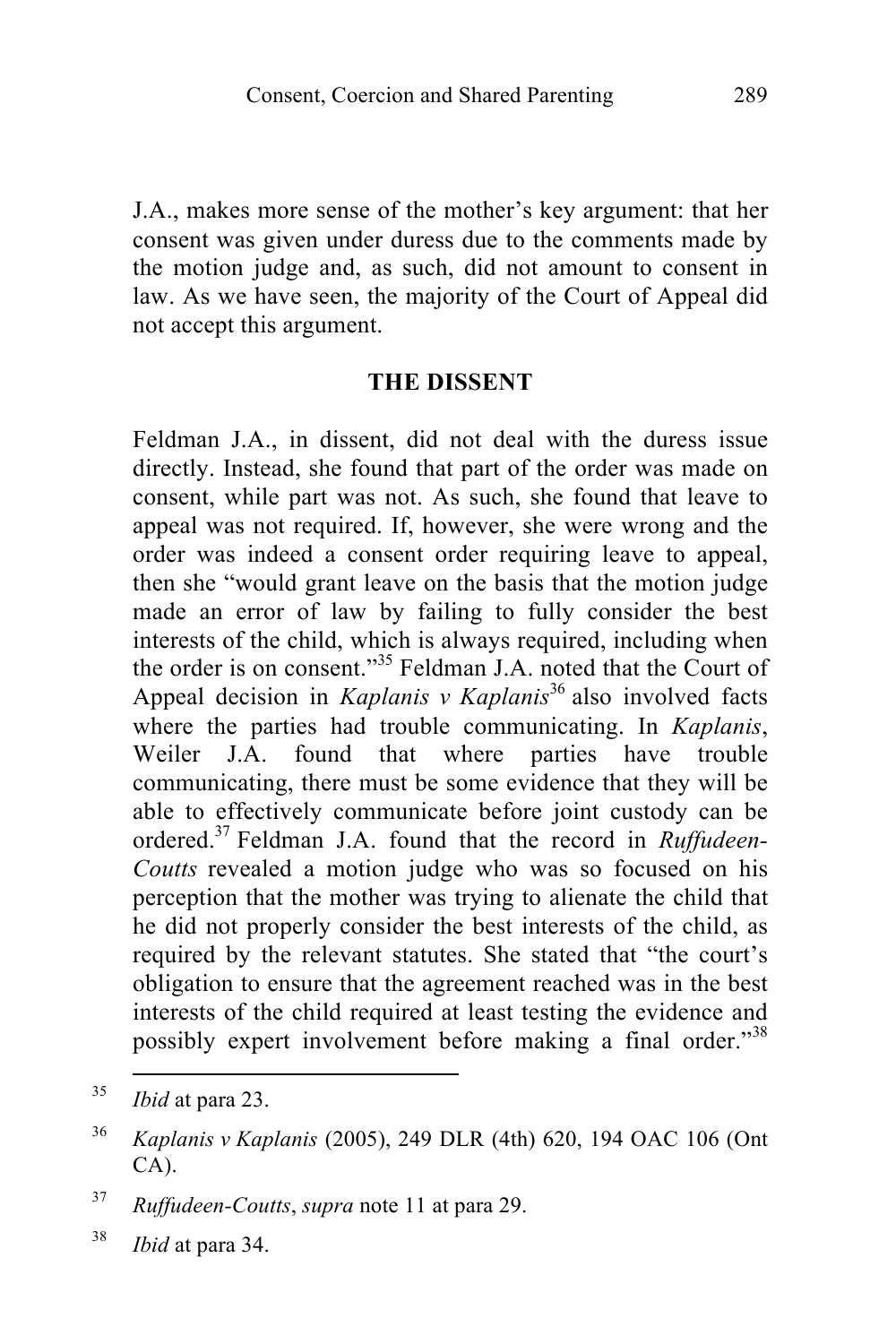J.A., makes more sense of the mother's key argument: that her consent was given under duress due to the comments made by the motion judge and, as such, did not amount to consent in law. As we have seen, the majority of the Court of Appeal did not accept this argument.

#### **THE DISSENT**

Feldman J.A., in dissent, did not deal with the duress issue directly. Instead, she found that part of the order was made on consent, while part was not. As such, she found that leave to appeal was not required. If, however, she were wrong and the order was indeed a consent order requiring leave to appeal, then she "would grant leave on the basis that the motion judge made an error of law by failing to fully consider the best interests of the child, which is always required, including when the order is on consent." <sup>35</sup> Feldman J.A. noted that the Court of Appeal decision in *Kaplanis v Kaplanis*<sup>36</sup> also involved facts where the parties had trouble communicating. In *Kaplanis*, Weiler J.A. found that where parties have trouble communicating, there must be some evidence that they will be able to effectively communicate before joint custody can be ordered.37 Feldman J.A. found that the record in *Ruffudeen-Coutts* revealed a motion judge who was so focused on his perception that the mother was trying to alienate the child that he did not properly consider the best interests of the child, as required by the relevant statutes. She stated that "the court's obligation to ensure that the agreement reached was in the best interests of the child required at least testing the evidence and possibly expert involvement before making a final order."<sup>38</sup>

<sup>&</sup>lt;sup>35</sup> *Ibid* at para 23.

<sup>36</sup> *Kaplanis v Kaplanis* (2005), 249 DLR (4th) 620, 194 OAC 106 (Ont CA).

<sup>37</sup> *Ruffudeen-Coutts*, *supra* note 11 at para 29.

<sup>38</sup> *Ibid* at para 34.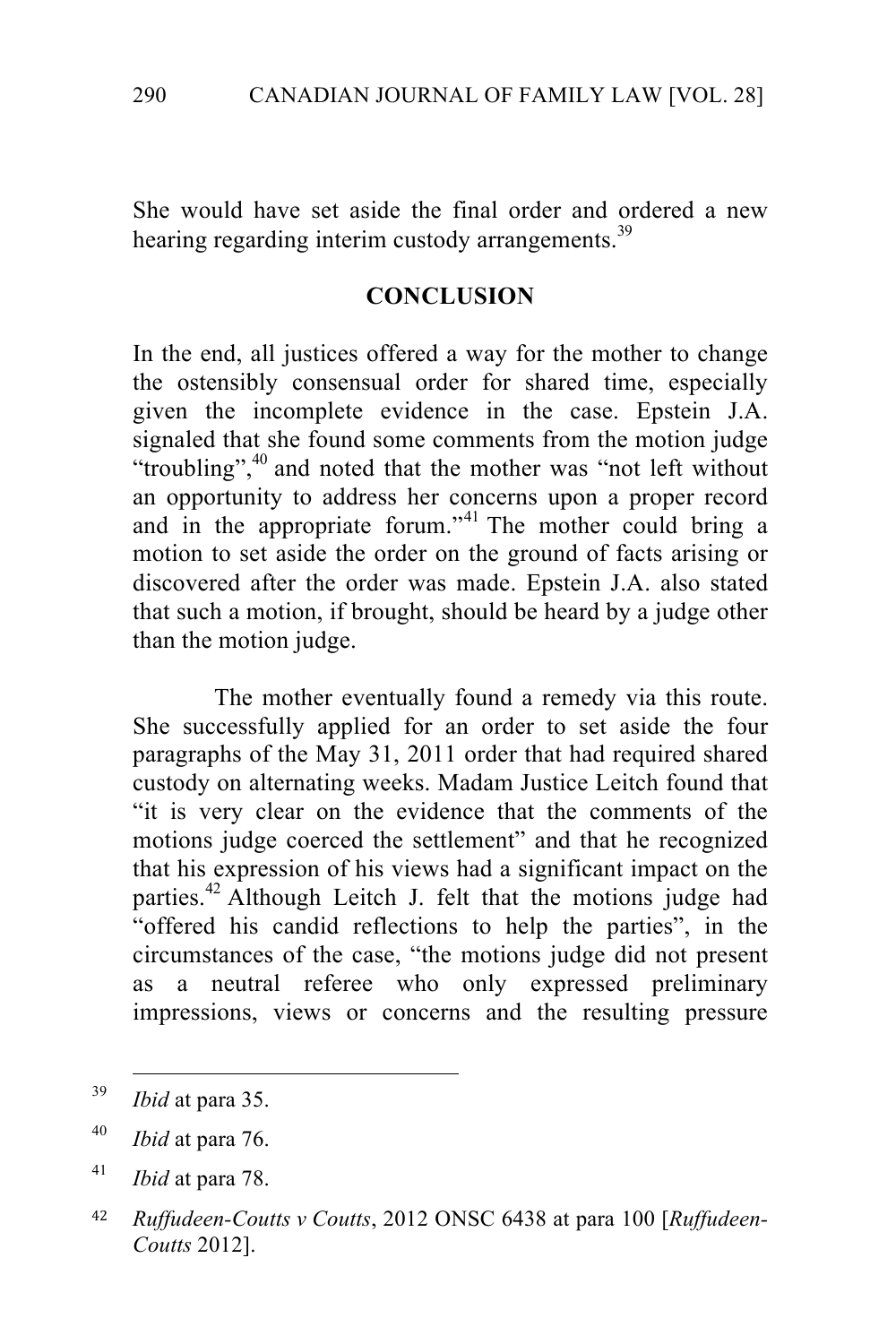She would have set aside the final order and ordered a new hearing regarding interim custody arrangements.<sup>39</sup>

#### **CONCLUSION**

In the end, all justices offered a way for the mother to change the ostensibly consensual order for shared time, especially given the incomplete evidence in the case. Epstein J.A. signaled that she found some comments from the motion judge "troubling",<sup>40</sup> and noted that the mother was "not left without an opportunity to address her concerns upon a proper record and in the appropriate forum."<sup>41</sup> The mother could bring a motion to set aside the order on the ground of facts arising or discovered after the order was made. Epstein J.A. also stated that such a motion, if brought, should be heard by a judge other than the motion judge.

The mother eventually found a remedy via this route. She successfully applied for an order to set aside the four paragraphs of the May 31, 2011 order that had required shared custody on alternating weeks. Madam Justice Leitch found that "it is very clear on the evidence that the comments of the motions judge coerced the settlement" and that he recognized that his expression of his views had a significant impact on the parties.<sup>42</sup> Although Leitch J. felt that the motions judge had "offered his candid reflections to help the parties", in the circumstances of the case, "the motions judge did not present as a neutral referee who only expressed preliminary impressions, views or concerns and the resulting pressure

<sup>&</sup>lt;sup>39</sup> *Ibid* at para 35.

<sup>40</sup> *Ibid* at para 76.

<sup>41</sup> *Ibid* at para 78.

<sup>42</sup> *Ruffudeen-Coutts v Coutts*, 2012 ONSC 6438 at para 100 [*Ruffudeen-Coutts* 2012].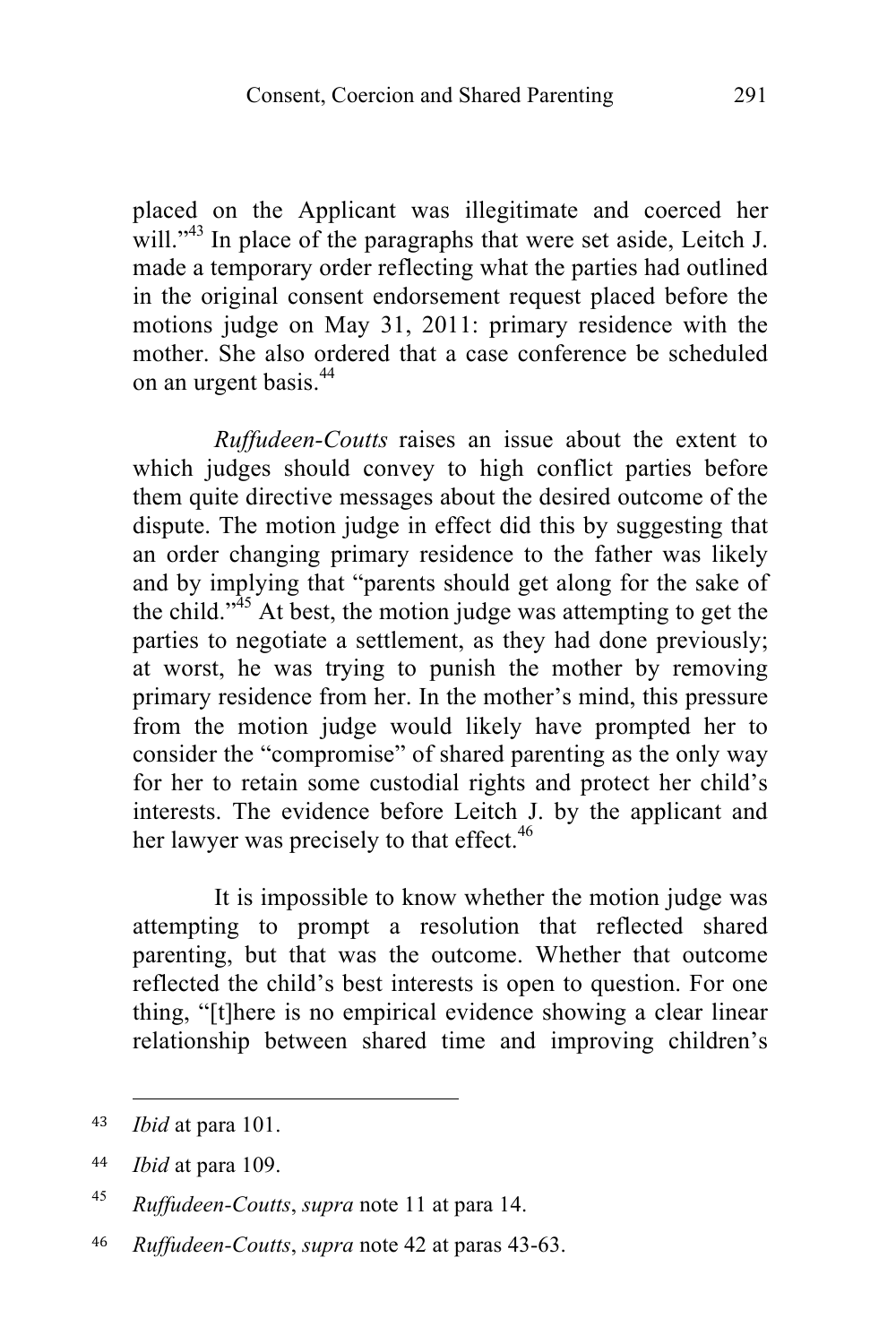placed on the Applicant was illegitimate and coerced her will." $43$  In place of the paragraphs that were set aside, Leitch J. made a temporary order reflecting what the parties had outlined in the original consent endorsement request placed before the motions judge on May 31, 2011: primary residence with the mother. She also ordered that a case conference be scheduled on an urgent basis.<sup>44</sup>

*Ruffudeen-Coutts* raises an issue about the extent to which judges should convey to high conflict parties before them quite directive messages about the desired outcome of the dispute. The motion judge in effect did this by suggesting that an order changing primary residence to the father was likely and by implying that "parents should get along for the sake of the child."<sup>45</sup> At best, the motion judge was attempting to get the parties to negotiate a settlement, as they had done previously; at worst, he was trying to punish the mother by removing primary residence from her. In the mother's mind, this pressure from the motion judge would likely have prompted her to consider the "compromise" of shared parenting as the only way for her to retain some custodial rights and protect her child's interests. The evidence before Leitch J. by the applicant and her lawyer was precisely to that effect.<sup>46</sup>

It is impossible to know whether the motion judge was attempting to prompt a resolution that reflected shared parenting, but that was the outcome. Whether that outcome reflected the child's best interests is open to question. For one thing, "[t]here is no empirical evidence showing a clear linear relationship between shared time and improving children's

!!!!!!!!!!!!!!!!!!!!!!!!!!!!!!!!!!!!!!!!!!!!!!!!!!!!!!!

<sup>43</sup> *Ibid* at para 101.

<sup>44</sup> *Ibid* at para 109.

<sup>45</sup> *Ruffudeen-Coutts*, *supra* note 11 at para 14.

<sup>46</sup> *Ruffudeen-Coutts*, *supra* note 42 at paras 43-63.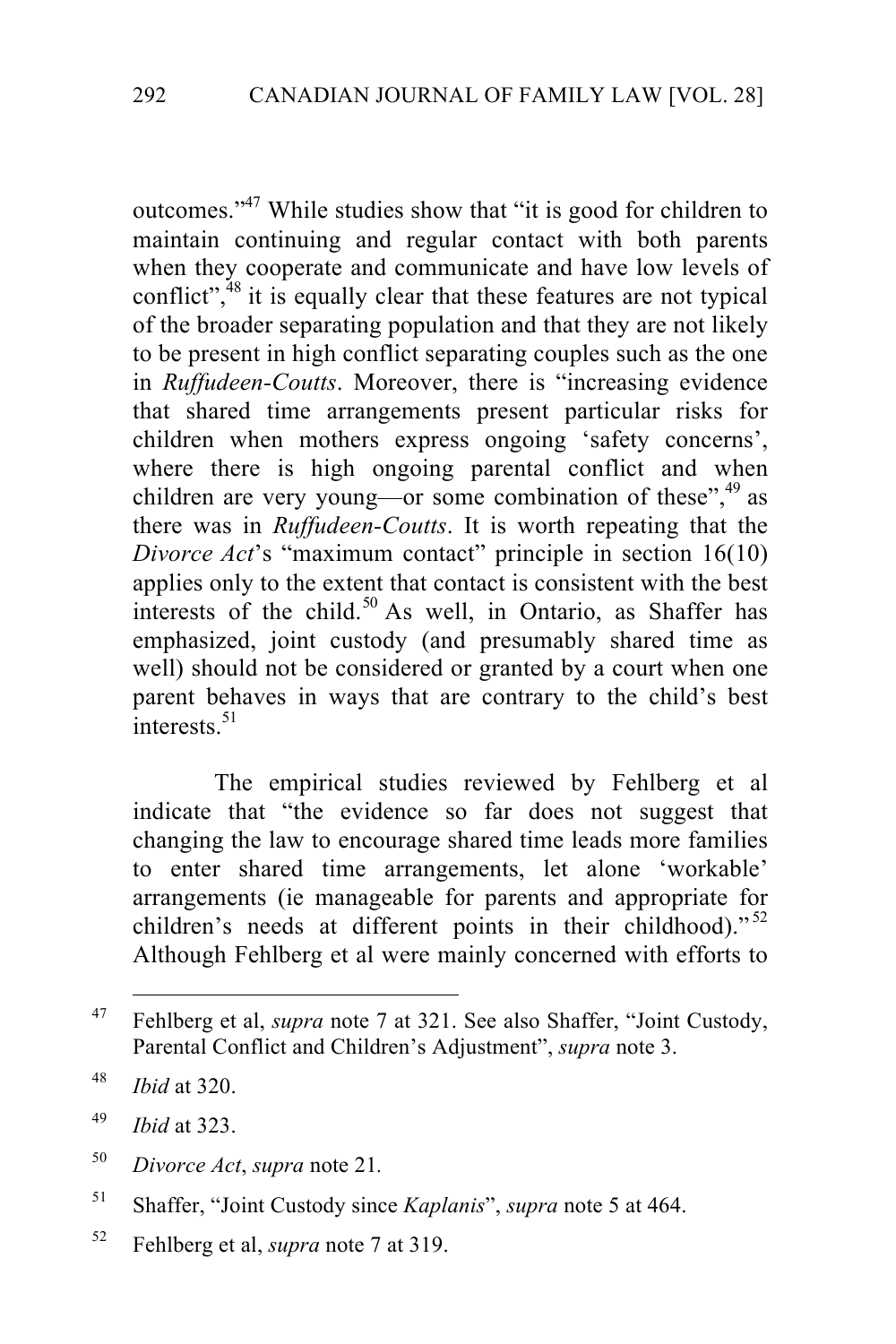outcomes."47 While studies show that "it is good for children to maintain continuing and regular contact with both parents when they cooperate and communicate and have low levels of conflict", $48$  it is equally clear that these features are not typical of the broader separating population and that they are not likely to be present in high conflict separating couples such as the one in *Ruffudeen-Coutts*. Moreover, there is "increasing evidence that shared time arrangements present particular risks for children when mothers express ongoing 'safety concerns', where there is high ongoing parental conflict and when children are very young—or some combination of these",<sup>49</sup> as there was in *Ruffudeen-Coutts*. It is worth repeating that the *Divorce Act's* "maximum contact" principle in section 16(10) applies only to the extent that contact is consistent with the best interests of the child.<sup>50</sup> As well, in Ontario, as Shaffer has emphasized, joint custody (and presumably shared time as well) should not be considered or granted by a court when one parent behaves in ways that are contrary to the child's best  $\frac{1}{\text{interects}}$ .<sup>51</sup>

The empirical studies reviewed by Fehlberg et al indicate that "the evidence so far does not suggest that changing the law to encourage shared time leads more families to enter shared time arrangements, let alone 'workable' arrangements (ie manageable for parents and appropriate for children's needs at different points in their childhood)."<sup>52</sup> Although Fehlberg et al were mainly concerned with efforts to

<sup>&</sup>lt;sup>47</sup> Fehlberg et al, *supra* note 7 at 321. See also Shaffer, "Joint Custody, Parental Conflict and Children's Adjustment", *supra* note 3.

<sup>48</sup> *Ibid* at 320.

<sup>49</sup> *Ibid* at 323.

<sup>50</sup> *Divorce Act*, *supra* note 21*.*

<sup>51</sup> Shaffer, "Joint Custody since *Kaplanis*", *supra* note 5 at 464.

<sup>52</sup> Fehlberg et al, *supra* note 7 at 319.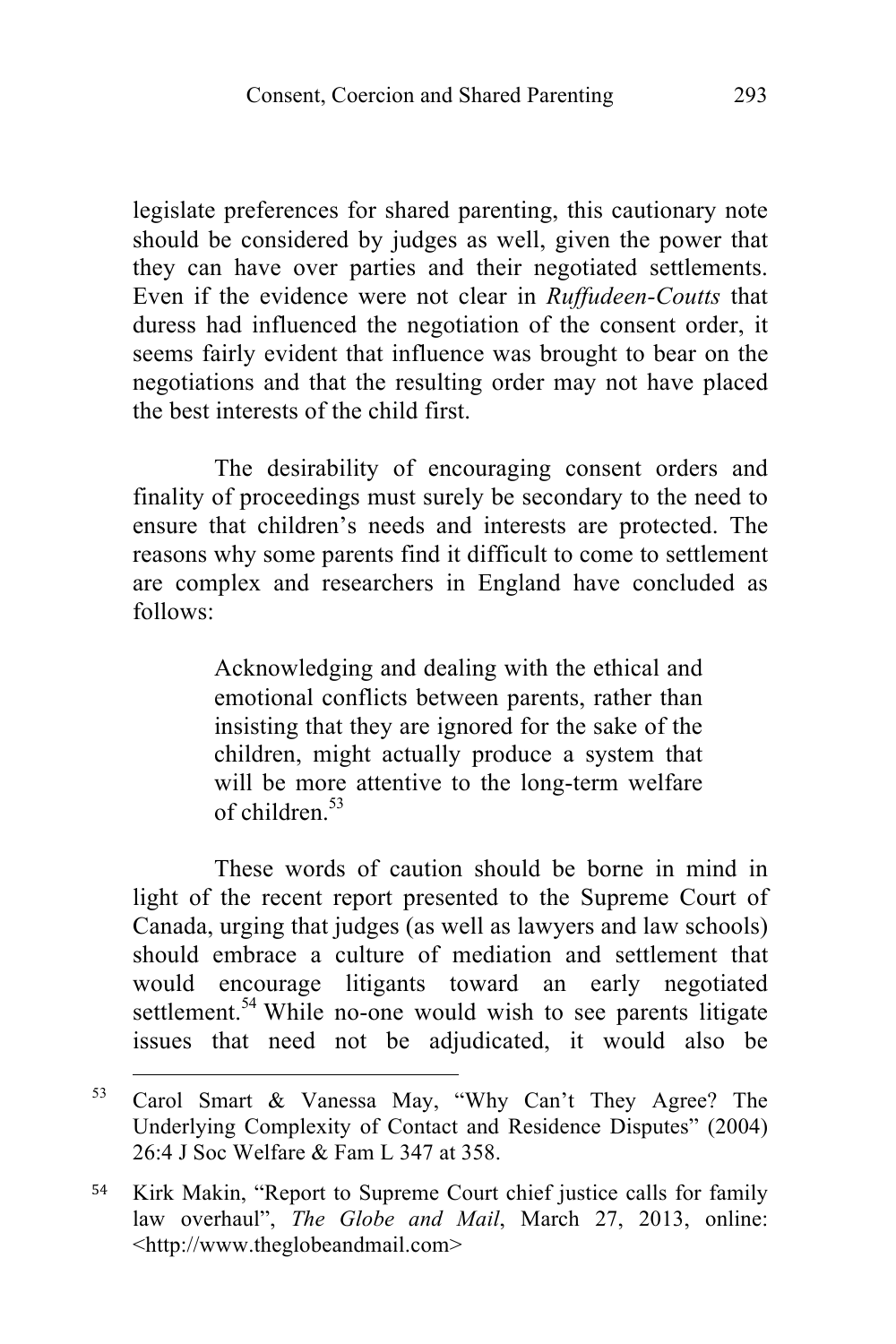legislate preferences for shared parenting, this cautionary note should be considered by judges as well, given the power that they can have over parties and their negotiated settlements. Even if the evidence were not clear in *Ruffudeen-Coutts* that duress had influenced the negotiation of the consent order, it seems fairly evident that influence was brought to bear on the negotiations and that the resulting order may not have placed the best interests of the child first.

The desirability of encouraging consent orders and finality of proceedings must surely be secondary to the need to ensure that children's needs and interests are protected. The reasons why some parents find it difficult to come to settlement are complex and researchers in England have concluded as follows:

> Acknowledging and dealing with the ethical and emotional conflicts between parents, rather than insisting that they are ignored for the sake of the children, might actually produce a system that will be more attentive to the long-term welfare of children $53$

These words of caution should be borne in mind in light of the recent report presented to the Supreme Court of Canada, urging that judges (as well as lawyers and law schools) should embrace a culture of mediation and settlement that would encourage litigants toward an early negotiated settlement.<sup>54</sup> While no-one would wish to see parents litigate issues that need not be adjudicated, it would also be

<sup>&</sup>lt;sup>53</sup> Carol Smart & Vanessa May, "Why Can't They Agree? The Underlying Complexity of Contact and Residence Disputes" (2004) 26:4 J Soc Welfare & Fam L 347 at 358.

<sup>54</sup> Kirk Makin, "Report to Supreme Court chief justice calls for family law overhaul", *The Globe and Mail*, March 27, 2013, online: <http://www.theglobeandmail.com>